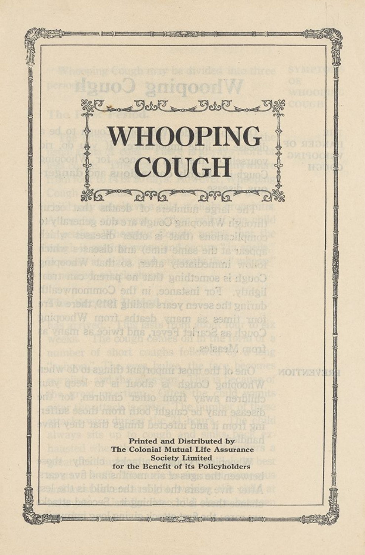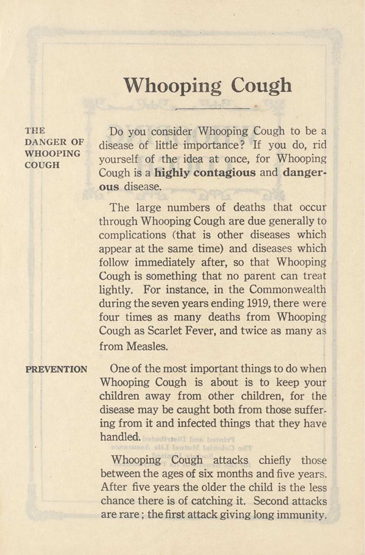# **Whooping Cough**

THE DANGER OF WHOOPING COUGH

Do you consider Whooping Cough to be a disease of little importance? If you do, rid yourself of the idea at once, for Whooping Cough is a **highly contagious** and **dangerous** disease.

The large numbers of deaths that occur through Whooping Cough are due generally to complications (that is other diseases which appear at the same time) and diseases which follow immediately after, so that Whooping Cough is something that no parent can treat lightly. For instance, in the Commonwealth during the seven years ending 1919, there were four times as many deaths from Whooping Cough as Scarlet Fever, and twice as many as from Measles.

#### PREVENTION

One of the most important things to do when Whooping Cough is about is to keep your children away from other children, for the disease may be caught both from those suffering from it and infected things that they have handled. Pelrotei(I hmn hatchy

Whooping Cough attacks chiefly those between the ages of six months and five years. After five years the older the child is the less chance there is of catching it. Second attacks are rare; the first attack giving long immunity.

oiTT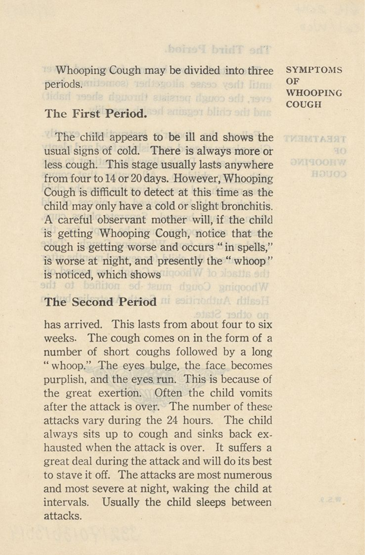Whooping Cough may be divided into three SYMPTOMS periods. Kitlemoa) redissionis sasso varit filmu OF ever, the cough persists through sheer habit)

boised bridT ad?

## The First Period.

The child appears to be ill and shows the usual signs of cold. There is always more or less cough. This stage usually lasts anywhere from four to 14 or 20 days. However, Whooping Cough is difficult to detect at this time as the child may only have a cold or slight bronchitis. A careful observant mother will, if the child is getting Whooping Cough, notice that the cough is getting worse and occurs " in spells," is worse at night, and presently the " whoop " is noticed, which shows wood who absthe ship Whooping Cough must be notified to the

### The Second Period

has arrived. This lasts from about four to six weeks. The cough comes on in the form of a number of short coughs followed by a long " whoop." The eyes bulge, the face becomes purplish, and the eyes. run. This is because of the great exertion. Often the child vomits after the attack is over. The number of these attacks vary during the 24 hours. The child always sits up to cough and sinks back exhausted when the attack is over. It suffers a great deal during the attack and will do its best to stave it off. The attacks are most numerous and most severe at night, waking the child at intervals. Usually the child sleeps between attacks.

WHOOPING COUGH

TERATMETER